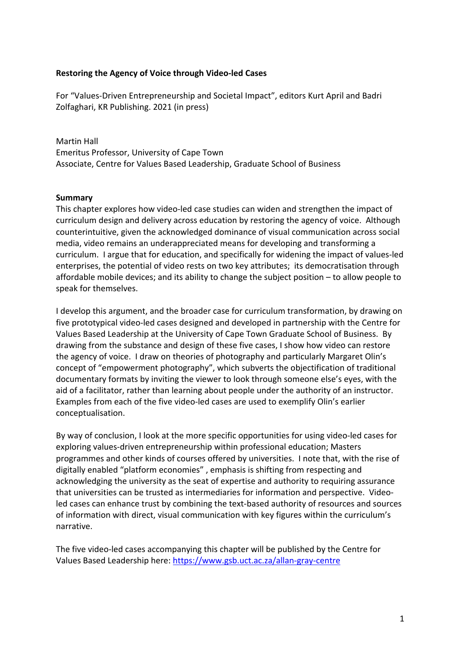## **Restoring the Agency of Voice through Video-led Cases**

For "Values-Driven Entrepreneurship and Societal Impact", editors Kurt April and Badri Zolfaghari, KR Publishing. 2021 (in press)

Martin Hall Emeritus Professor, University of Cape Town Associate, Centre for Values Based Leadership, Graduate School of Business

## **Summary**

This chapter explores how video-led case studies can widen and strengthen the impact of curriculum design and delivery across education by restoring the agency of voice. Although counterintuitive, given the acknowledged dominance of visual communication across social media, video remains an underappreciated means for developing and transforming a curriculum. I argue that for education, and specifically for widening the impact of values-led enterprises, the potential of video rests on two key attributes; its democratisation through affordable mobile devices; and its ability to change the subject position – to allow people to speak for themselves.

I develop this argument, and the broader case for curriculum transformation, by drawing on five prototypical video-led cases designed and developed in partnership with the Centre for Values Based Leadership at the University of Cape Town Graduate School of Business. By drawing from the substance and design of these five cases, I show how video can restore the agency of voice. I draw on theories of photography and particularly Margaret Olin's concept of "empowerment photography", which subverts the objectification of traditional documentary formats by inviting the viewer to look through someone else's eyes, with the aid of a facilitator, rather than learning about people under the authority of an instructor. Examples from each of the five video-led cases are used to exemplify Olin's earlier conceptualisation.

By way of conclusion, I look at the more specific opportunities for using video-led cases for exploring values-driven entrepreneurship within professional education; Masters programmes and other kinds of courses offered by universities. I note that, with the rise of digitally enabled "platform economies" , emphasis is shifting from respecting and acknowledging the university as the seat of expertise and authority to requiring assurance that universities can be trusted as intermediaries for information and perspective. Videoled cases can enhance trust by combining the text-based authority of resources and sources of information with direct, visual communication with key figures within the curriculum's narrative.

The five video-led cases accompanying this chapter will be published by the Centre for Values Based Leadership here: https://www.gsb.uct.ac.za/allan-gray-centre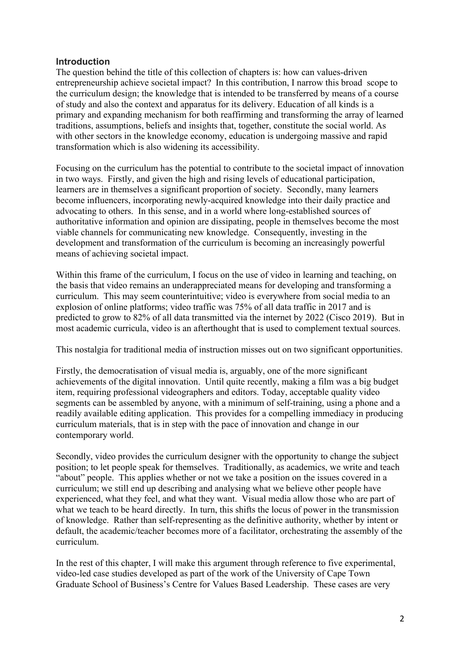# **Introduction**

The question behind the title of this collection of chapters is: how can values-driven entrepreneurship achieve societal impact? In this contribution, I narrow this broad scope to the curriculum design; the knowledge that is intended to be transferred by means of a course of study and also the context and apparatus for its delivery. Education of all kinds is a primary and expanding mechanism for both reaffirming and transforming the array of learned traditions, assumptions, beliefs and insights that, together, constitute the social world. As with other sectors in the knowledge economy, education is undergoing massive and rapid transformation which is also widening its accessibility.

Focusing on the curriculum has the potential to contribute to the societal impact of innovation in two ways. Firstly, and given the high and rising levels of educational participation, learners are in themselves a significant proportion of society. Secondly, many learners become influencers, incorporating newly-acquired knowledge into their daily practice and advocating to others. In this sense, and in a world where long-established sources of authoritative information and opinion are dissipating, people in themselves become the most viable channels for communicating new knowledge. Consequently, investing in the development and transformation of the curriculum is becoming an increasingly powerful means of achieving societal impact.

Within this frame of the curriculum, I focus on the use of video in learning and teaching, on the basis that video remains an underappreciated means for developing and transforming a curriculum. This may seem counterintuitive; video is everywhere from social media to an explosion of online platforms; video traffic was 75% of all data traffic in 2017 and is predicted to grow to 82% of all data transmitted via the internet by 2022 (Cisco 2019). But in most academic curricula, video is an afterthought that is used to complement textual sources.

This nostalgia for traditional media of instruction misses out on two significant opportunities.

Firstly, the democratisation of visual media is, arguably, one of the more significant achievements of the digital innovation. Until quite recently, making a film was a big budget item, requiring professional videographers and editors. Today, acceptable quality video segments can be assembled by anyone, with a minimum of self-training, using a phone and a readily available editing application. This provides for a compelling immediacy in producing curriculum materials, that is in step with the pace of innovation and change in our contemporary world.

Secondly, video provides the curriculum designer with the opportunity to change the subject position; to let people speak for themselves. Traditionally, as academics, we write and teach "about" people. This applies whether or not we take a position on the issues covered in a curriculum; we still end up describing and analysing what we believe other people have experienced, what they feel, and what they want. Visual media allow those who are part of what we teach to be heard directly. In turn, this shifts the locus of power in the transmission of knowledge. Rather than self-representing as the definitive authority, whether by intent or default, the academic/teacher becomes more of a facilitator, orchestrating the assembly of the curriculum.

In the rest of this chapter, I will make this argument through reference to five experimental, video-led case studies developed as part of the work of the University of Cape Town Graduate School of Business's Centre for Values Based Leadership. These cases are very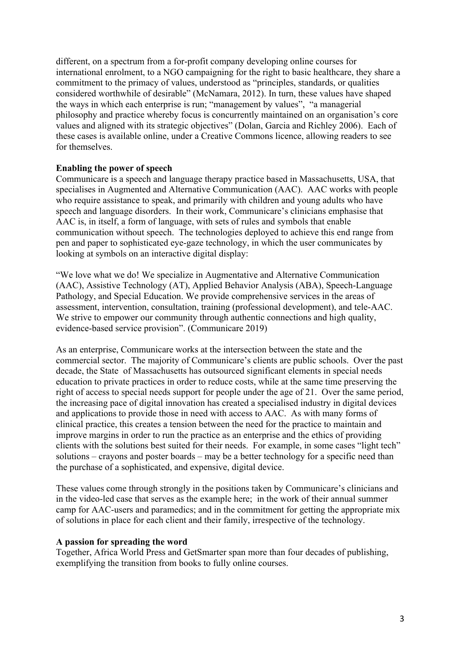different, on a spectrum from a for-profit company developing online courses for international enrolment, to a NGO campaigning for the right to basic healthcare, they share a commitment to the primacy of values, understood as "principles, standards, or qualities considered worthwhile of desirable" (McNamara, 2012). In turn, these values have shaped the ways in which each enterprise is run; "management by values", "a managerial philosophy and practice whereby focus is concurrently maintained on an organisation's core values and aligned with its strategic objectives" (Dolan, Garcia and Richley 2006). Each of these cases is available online, under a Creative Commons licence, allowing readers to see for themselves.

## **Enabling the power of speech**

Communicare is a speech and language therapy practice based in Massachusetts, USA, that specialises in Augmented and Alternative Communication (AAC). AAC works with people who require assistance to speak, and primarily with children and young adults who have speech and language disorders. In their work, Communicare's clinicians emphasise that AAC is, in itself, a form of language, with sets of rules and symbols that enable communication without speech. The technologies deployed to achieve this end range from pen and paper to sophisticated eye-gaze technology, in which the user communicates by looking at symbols on an interactive digital display:

"We love what we do! We specialize in Augmentative and Alternative Communication (AAC), Assistive Technology (AT), Applied Behavior Analysis (ABA), Speech-Language Pathology, and Special Education. We provide comprehensive services in the areas of assessment, intervention, consultation, training (professional development), and tele-AAC. We strive to empower our community through authentic connections and high quality, evidence-based service provision". (Communicare 2019)

As an enterprise, Communicare works at the intersection between the state and the commercial sector. The majority of Communicare's clients are public schools. Over the past decade, the State of Massachusetts has outsourced significant elements in special needs education to private practices in order to reduce costs, while at the same time preserving the right of access to special needs support for people under the age of 21. Over the same period, the increasing pace of digital innovation has created a specialised industry in digital devices and applications to provide those in need with access to AAC. As with many forms of clinical practice, this creates a tension between the need for the practice to maintain and improve margins in order to run the practice as an enterprise and the ethics of providing clients with the solutions best suited for their needs. For example, in some cases "light tech" solutions – crayons and poster boards – may be a better technology for a specific need than the purchase of a sophisticated, and expensive, digital device.

These values come through strongly in the positions taken by Communicare's clinicians and in the video-led case that serves as the example here; in the work of their annual summer camp for AAC-users and paramedics; and in the commitment for getting the appropriate mix of solutions in place for each client and their family, irrespective of the technology.

#### **A passion for spreading the word**

Together, Africa World Press and GetSmarter span more than four decades of publishing, exemplifying the transition from books to fully online courses.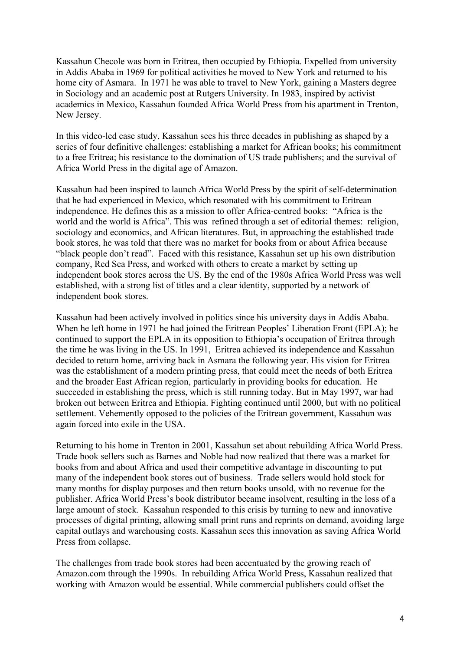Kassahun Checole was born in Eritrea, then occupied by Ethiopia. Expelled from university in Addis Ababa in 1969 for political activities he moved to New York and returned to his home city of Asmara. In 1971 he was able to travel to New York, gaining a Masters degree in Sociology and an academic post at Rutgers University. In 1983, inspired by activist academics in Mexico, Kassahun founded Africa World Press from his apartment in Trenton, New Jersey.

In this video-led case study, Kassahun sees his three decades in publishing as shaped by a series of four definitive challenges: establishing a market for African books; his commitment to a free Eritrea; his resistance to the domination of US trade publishers; and the survival of Africa World Press in the digital age of Amazon.

Kassahun had been inspired to launch Africa World Press by the spirit of self-determination that he had experienced in Mexico, which resonated with his commitment to Eritrean independence. He defines this as a mission to offer Africa-centred books: "Africa is the world and the world is Africa". This was refined through a set of editorial themes: religion, sociology and economics, and African literatures. But, in approaching the established trade book stores, he was told that there was no market for books from or about Africa because "black people don't read". Faced with this resistance, Kassahun set up his own distribution company, Red Sea Press, and worked with others to create a market by setting up independent book stores across the US. By the end of the 1980s Africa World Press was well established, with a strong list of titles and a clear identity, supported by a network of independent book stores.

Kassahun had been actively involved in politics since his university days in Addis Ababa. When he left home in 1971 he had joined the Eritrean Peoples' Liberation Front (EPLA); he continued to support the EPLA in its opposition to Ethiopia's occupation of Eritrea through the time he was living in the US. In 1991, Eritrea achieved its independence and Kassahun decided to return home, arriving back in Asmara the following year. His vision for Eritrea was the establishment of a modern printing press, that could meet the needs of both Eritrea and the broader East African region, particularly in providing books for education. He succeeded in establishing the press, which is still running today. But in May 1997, war had broken out between Eritrea and Ethiopia. Fighting continued until 2000, but with no political settlement. Vehemently opposed to the policies of the Eritrean government, Kassahun was again forced into exile in the USA.

Returning to his home in Trenton in 2001, Kassahun set about rebuilding Africa World Press. Trade book sellers such as Barnes and Noble had now realized that there was a market for books from and about Africa and used their competitive advantage in discounting to put many of the independent book stores out of business. Trade sellers would hold stock for many months for display purposes and then return books unsold, with no revenue for the publisher. Africa World Press's book distributor became insolvent, resulting in the loss of a large amount of stock. Kassahun responded to this crisis by turning to new and innovative processes of digital printing, allowing small print runs and reprints on demand, avoiding large capital outlays and warehousing costs. Kassahun sees this innovation as saving Africa World Press from collapse.

The challenges from trade book stores had been accentuated by the growing reach of Amazon.com through the 1990s. In rebuilding Africa World Press, Kassahun realized that working with Amazon would be essential. While commercial publishers could offset the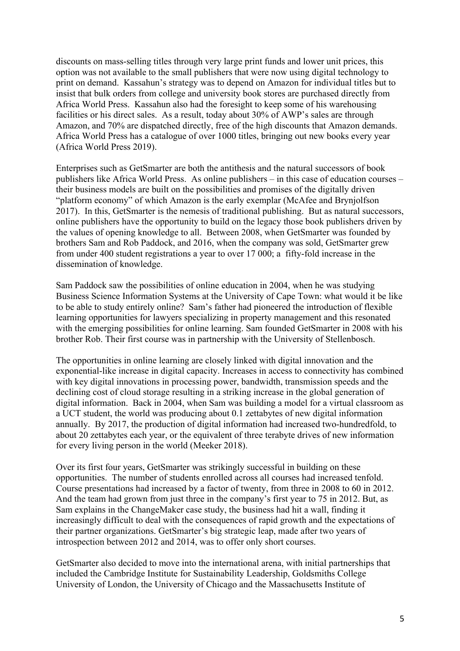discounts on mass-selling titles through very large print funds and lower unit prices, this option was not available to the small publishers that were now using digital technology to print on demand. Kassahun's strategy was to depend on Amazon for individual titles but to insist that bulk orders from college and university book stores are purchased directly from Africa World Press. Kassahun also had the foresight to keep some of his warehousing facilities or his direct sales. As a result, today about 30% of AWP's sales are through Amazon, and 70% are dispatched directly, free of the high discounts that Amazon demands. Africa World Press has a catalogue of over 1000 titles, bringing out new books every year (Africa World Press 2019).

Enterprises such as GetSmarter are both the antithesis and the natural successors of book publishers like Africa World Press. As online publishers – in this case of education courses – their business models are built on the possibilities and promises of the digitally driven "platform economy" of which Amazon is the early exemplar (McAfee and Brynjolfson 2017). In this, GetSmarter is the nemesis of traditional publishing. But as natural successors, online publishers have the opportunity to build on the legacy those book publishers driven by the values of opening knowledge to all. Between 2008, when GetSmarter was founded by brothers Sam and Rob Paddock, and 2016, when the company was sold, GetSmarter grew from under 400 student registrations a year to over 17 000; a fifty-fold increase in the dissemination of knowledge.

Sam Paddock saw the possibilities of online education in 2004, when he was studying Business Science Information Systems at the University of Cape Town: what would it be like to be able to study entirely online? Sam's father had pioneered the introduction of flexible learning opportunities for lawyers specializing in property management and this resonated with the emerging possibilities for online learning. Sam founded GetSmarter in 2008 with his brother Rob. Their first course was in partnership with the University of Stellenbosch.

The opportunities in online learning are closely linked with digital innovation and the exponential-like increase in digital capacity. Increases in access to connectivity has combined with key digital innovations in processing power, bandwidth, transmission speeds and the declining cost of cloud storage resulting in a striking increase in the global generation of digital information. Back in 2004, when Sam was building a model for a virtual classroom as a UCT student, the world was producing about 0.1 zettabytes of new digital information annually. By 2017, the production of digital information had increased two-hundredfold, to about 20 zettabytes each year, or the equivalent of three terabyte drives of new information for every living person in the world (Meeker 2018).

Over its first four years, GetSmarter was strikingly successful in building on these opportunities. The number of students enrolled across all courses had increased tenfold. Course presentations had increased by a factor of twenty, from three in 2008 to 60 in 2012. And the team had grown from just three in the company's first year to 75 in 2012. But, as Sam explains in the ChangeMaker case study, the business had hit a wall, finding it increasingly difficult to deal with the consequences of rapid growth and the expectations of their partner organizations. GetSmarter's big strategic leap, made after two years of introspection between 2012 and 2014, was to offer only short courses.

GetSmarter also decided to move into the international arena, with initial partnerships that included the Cambridge Institute for Sustainability Leadership, Goldsmiths College University of London, the University of Chicago and the Massachusetts Institute of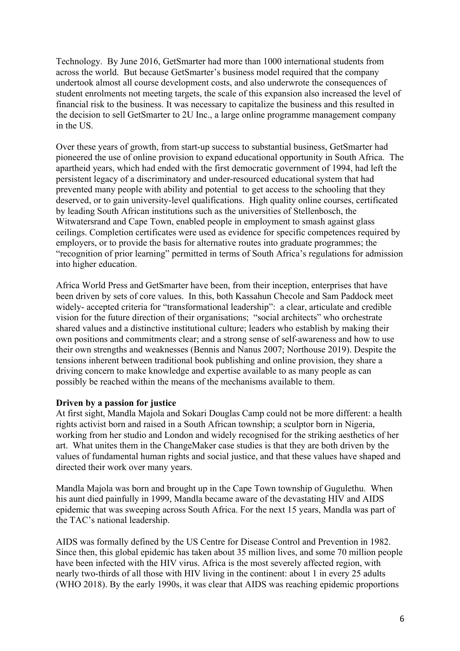Technology. By June 2016, GetSmarter had more than 1000 international students from across the world. But because GetSmarter's business model required that the company undertook almost all course development costs, and also underwrote the consequences of student enrolments not meeting targets, the scale of this expansion also increased the level of financial risk to the business. It was necessary to capitalize the business and this resulted in the decision to sell GetSmarter to 2U Inc., a large online programme management company in the US.

Over these years of growth, from start-up success to substantial business, GetSmarter had pioneered the use of online provision to expand educational opportunity in South Africa. The apartheid years, which had ended with the first democratic government of 1994, had left the persistent legacy of a discriminatory and under-resourced educational system that had prevented many people with ability and potential to get access to the schooling that they deserved, or to gain university-level qualifications. High quality online courses, certificated by leading South African institutions such as the universities of Stellenbosch, the Witwatersrand and Cape Town, enabled people in employment to smash against glass ceilings. Completion certificates were used as evidence for specific competences required by employers, or to provide the basis for alternative routes into graduate programmes; the "recognition of prior learning" permitted in terms of South Africa's regulations for admission into higher education.

Africa World Press and GetSmarter have been, from their inception, enterprises that have been driven by sets of core values. In this, both Kassahun Checole and Sam Paddock meet widely- accepted criteria for "transformational leadership": a clear, articulate and credible vision for the future direction of their organisations; "social architects" who orchestrate shared values and a distinctive institutional culture; leaders who establish by making their own positions and commitments clear; and a strong sense of self-awareness and how to use their own strengths and weaknesses (Bennis and Nanus 2007; Northouse 2019). Despite the tensions inherent between traditional book publishing and online provision, they share a driving concern to make knowledge and expertise available to as many people as can possibly be reached within the means of the mechanisms available to them.

#### **Driven by a passion for justice**

At first sight, Mandla Majola and Sokari Douglas Camp could not be more different: a health rights activist born and raised in a South African township; a sculptor born in Nigeria, working from her studio and London and widely recognised for the striking aesthetics of her art. What unites them in the ChangeMaker case studies is that they are both driven by the values of fundamental human rights and social justice, and that these values have shaped and directed their work over many years.

Mandla Majola was born and brought up in the Cape Town township of Gugulethu. When his aunt died painfully in 1999, Mandla became aware of the devastating HIV and AIDS epidemic that was sweeping across South Africa. For the next 15 years, Mandla was part of the TAC's national leadership.

AIDS was formally defined by the US Centre for Disease Control and Prevention in 1982. Since then, this global epidemic has taken about 35 million lives, and some 70 million people have been infected with the HIV virus. Africa is the most severely affected region, with nearly two-thirds of all those with HIV living in the continent: about 1 in every 25 adults (WHO 2018). By the early 1990s, it was clear that AIDS was reaching epidemic proportions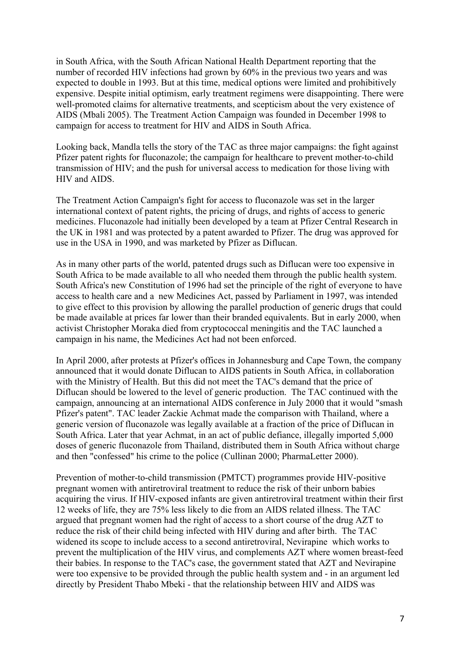in South Africa, with the South African National Health Department reporting that the number of recorded HIV infections had grown by 60% in the previous two years and was expected to double in 1993. But at this time, medical options were limited and prohibitively expensive. Despite initial optimism, early treatment regimens were disappointing. There were well-promoted claims for alternative treatments, and scepticism about the very existence of AIDS (Mbali 2005). The Treatment Action Campaign was founded in December 1998 to campaign for access to treatment for HIV and AIDS in South Africa.

Looking back, Mandla tells the story of the TAC as three major campaigns: the fight against Pfizer patent rights for fluconazole; the campaign for healthcare to prevent mother-to-child transmission of HIV; and the push for universal access to medication for those living with HIV and AIDS.

The Treatment Action Campaign's fight for access to fluconazole was set in the larger international context of patent rights, the pricing of drugs, and rights of access to generic medicines. Fluconazole had initially been developed by a team at Pfizer Central Research in the UK in 1981 and was protected by a patent awarded to Pfizer. The drug was approved for use in the USA in 1990, and was marketed by Pfizer as Diflucan.

As in many other parts of the world, patented drugs such as Diflucan were too expensive in South Africa to be made available to all who needed them through the public health system. South Africa's new Constitution of 1996 had set the principle of the right of everyone to have access to health care and a new Medicines Act, passed by Parliament in 1997, was intended to give effect to this provision by allowing the parallel production of generic drugs that could be made available at prices far lower than their branded equivalents. But in early 2000, when activist Christopher Moraka died from cryptococcal meningitis and the TAC launched a campaign in his name, the Medicines Act had not been enforced.

In April 2000, after protests at Pfizer's offices in Johannesburg and Cape Town, the company announced that it would donate Diflucan to AIDS patients in South Africa, in collaboration with the Ministry of Health. But this did not meet the TAC's demand that the price of Diflucan should be lowered to the level of generic production. The TAC continued with the campaign, announcing at an international AIDS conference in July 2000 that it would "smash Pfizer's patent". TAC leader Zackie Achmat made the comparison with Thailand, where a generic version of fluconazole was legally available at a fraction of the price of Diflucan in South Africa. Later that year Achmat, in an act of public defiance, illegally imported 5,000 doses of generic fluconazole from Thailand, distributed them in South Africa without charge and then "confessed" his crime to the police (Cullinan 2000; PharmaLetter 2000).

Prevention of mother-to-child transmission (PMTCT) programmes provide HIV-positive pregnant women with antiretroviral treatment to reduce the risk of their unborn babies acquiring the virus. If HIV-exposed infants are given antiretroviral treatment within their first 12 weeks of life, they are 75% less likely to die from an AIDS related illness. The TAC argued that pregnant women had the right of access to a short course of the drug AZT to reduce the risk of their child being infected with HIV during and after birth. The TAC widened its scope to include access to a second antiretroviral, Nevirapine which works to prevent the multiplication of the HIV virus, and complements AZT where women breast-feed their babies. In response to the TAC's case, the government stated that AZT and Nevirapine were too expensive to be provided through the public health system and - in an argument led directly by President Thabo Mbeki - that the relationship between HIV and AIDS was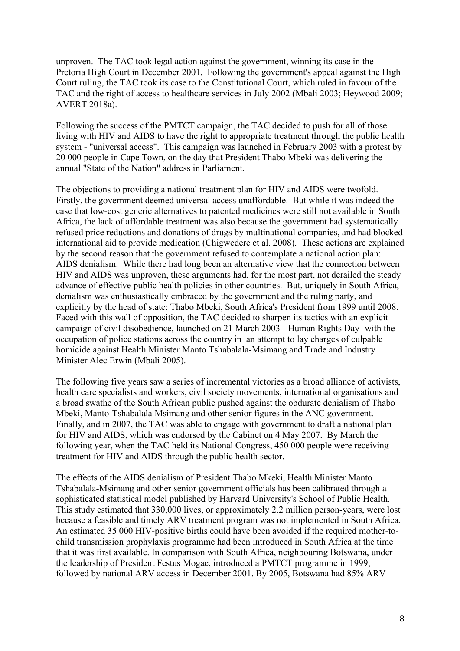unproven. The TAC took legal action against the government, winning its case in the Pretoria High Court in December 2001. Following the government's appeal against the High Court ruling, the TAC took its case to the Constitutional Court, which ruled in favour of the TAC and the right of access to healthcare services in July 2002 (Mbali 2003; Heywood 2009; AVERT 2018a).

Following the success of the PMTCT campaign, the TAC decided to push for all of those living with HIV and AIDS to have the right to appropriate treatment through the public health system - "universal access". This campaign was launched in February 2003 with a protest by 20 000 people in Cape Town, on the day that President Thabo Mbeki was delivering the annual "State of the Nation" address in Parliament.

The objections to providing a national treatment plan for HIV and AIDS were twofold. Firstly, the government deemed universal access unaffordable. But while it was indeed the case that low-cost generic alternatives to patented medicines were still not available in South Africa, the lack of affordable treatment was also because the government had systematically refused price reductions and donations of drugs by multinational companies, and had blocked international aid to provide medication (Chigwedere et al. 2008). These actions are explained by the second reason that the government refused to contemplate a national action plan: AIDS denialism. While there had long been an alternative view that the connection between HIV and AIDS was unproven, these arguments had, for the most part, not derailed the steady advance of effective public health policies in other countries. But, uniquely in South Africa, denialism was enthusiastically embraced by the government and the ruling party, and explicitly by the head of state: Thabo Mbeki, South Africa's President from 1999 until 2008. Faced with this wall of opposition, the TAC decided to sharpen its tactics with an explicit campaign of civil disobedience, launched on 21 March 2003 - Human Rights Day -with the occupation of police stations across the country in an attempt to lay charges of culpable homicide against Health Minister Manto Tshabalala-Msimang and Trade and Industry Minister Alec Erwin (Mbali 2005).

The following five years saw a series of incremental victories as a broad alliance of activists, health care specialists and workers, civil society movements, international organisations and a broad swathe of the South African public pushed against the obdurate denialism of Thabo Mbeki, Manto-Tshabalala Msimang and other senior figures in the ANC government. Finally, and in 2007, the TAC was able to engage with government to draft a national plan for HIV and AIDS, which was endorsed by the Cabinet on 4 May 2007. By March the following year, when the TAC held its National Congress, 450 000 people were receiving treatment for HIV and AIDS through the public health sector.

The effects of the AIDS denialism of President Thabo Mkeki, Health Minister Manto Tshabalala-Msimang and other senior government officials has been calibrated through a sophisticated statistical model published by Harvard University's School of Public Health. This study estimated that 330,000 lives, or approximately 2.2 million person-years, were lost because a feasible and timely ARV treatment program was not implemented in South Africa. An estimated 35 000 HIV-positive births could have been avoided if the required mother-tochild transmission prophylaxis programme had been introduced in South Africa at the time that it was first available. In comparison with South Africa, neighbouring Botswana, under the leadership of President Festus Mogae, introduced a PMTCT programme in 1999, followed by national ARV access in December 2001. By 2005, Botswana had 85% ARV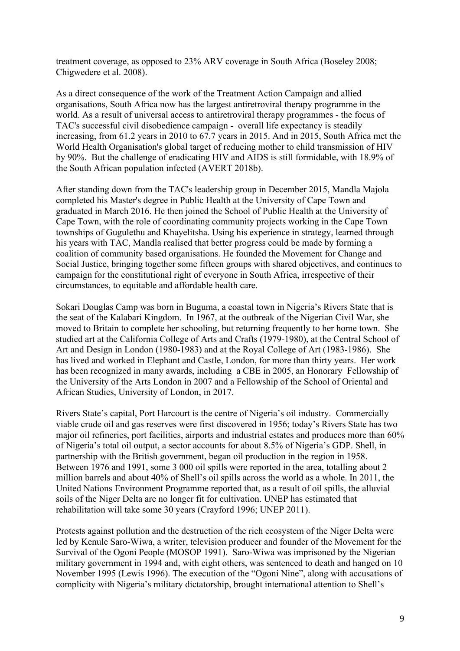treatment coverage, as opposed to 23% ARV coverage in South Africa (Boseley 2008; Chigwedere et al. 2008).

As a direct consequence of the work of the Treatment Action Campaign and allied organisations, South Africa now has the largest antiretroviral therapy programme in the world. As a result of universal access to antiretroviral therapy programmes - the focus of TAC's successful civil disobedience campaign - overall life expectancy is steadily increasing, from 61.2 years in 2010 to 67.7 years in 2015. And in 2015, South Africa met the World Health Organisation's global target of reducing mother to child transmission of HIV by 90%. But the challenge of eradicating HIV and AIDS is still formidable, with 18.9% of the South African population infected (AVERT 2018b).

After standing down from the TAC's leadership group in December 2015, Mandla Majola completed his Master's degree in Public Health at the University of Cape Town and graduated in March 2016. He then joined the School of Public Health at the University of Cape Town, with the role of coordinating community projects working in the Cape Town townships of Gugulethu and Khayelitsha. Using his experience in strategy, learned through his years with TAC, Mandla realised that better progress could be made by forming a coalition of community based organisations. He founded the Movement for Change and Social Justice, bringing together some fifteen groups with shared objectives, and continues to campaign for the constitutional right of everyone in South Africa, irrespective of their circumstances, to equitable and affordable health care.

Sokari Douglas Camp was born in Buguma, a coastal town in Nigeria's Rivers State that is the seat of the Kalabari Kingdom. In 1967, at the outbreak of the Nigerian Civil War, she moved to Britain to complete her schooling, but returning frequently to her home town. She studied art at the California College of Arts and Crafts (1979-1980), at the Central School of Art and Design in London (1980-1983) and at the Royal College of Art (1983-1986). She has lived and worked in Elephant and Castle, London, for more than thirty years. Her work has been recognized in many awards, including a CBE in 2005, an Honorary Fellowship of the University of the Arts London in 2007 and a Fellowship of the School of Oriental and African Studies, University of London, in 2017.

Rivers State's capital, Port Harcourt is the centre of Nigeria's oil industry. Commercially viable crude oil and gas reserves were first discovered in 1956; today's Rivers State has two major oil refineries, port facilities, airports and industrial estates and produces more than 60% of Nigeria's total oil output, a sector accounts for about 8.5% of Nigeria's GDP. Shell, in partnership with the British government, began oil production in the region in 1958. Between 1976 and 1991, some 3 000 oil spills were reported in the area, totalling about 2 million barrels and about 40% of Shell's oil spills across the world as a whole. In 2011, the United Nations Environment Programme reported that, as a result of oil spills, the alluvial soils of the Niger Delta are no longer fit for cultivation. UNEP has estimated that rehabilitation will take some 30 years (Crayford 1996; UNEP 2011).

Protests against pollution and the destruction of the rich ecosystem of the Niger Delta were led by Kenule Saro-Wiwa, a writer, television producer and founder of the Movement for the Survival of the Ogoni People (MOSOP 1991). Saro-Wiwa was imprisoned by the Nigerian military government in 1994 and, with eight others, was sentenced to death and hanged on 10 November 1995 (Lewis 1996). The execution of the "Ogoni Nine", along with accusations of complicity with Nigeria's military dictatorship, brought international attention to Shell's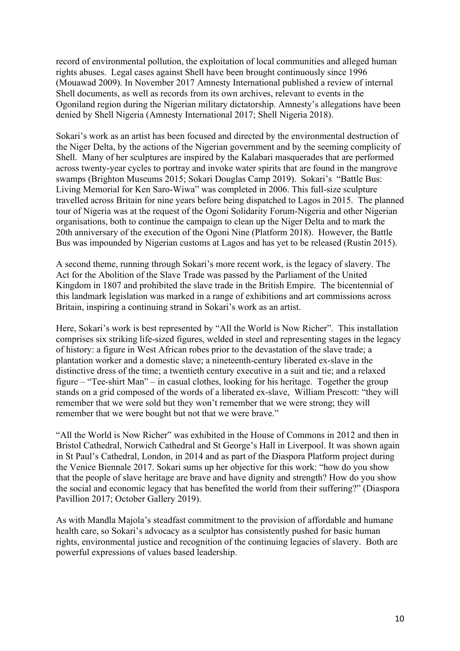record of environmental pollution, the exploitation of local communities and alleged human rights abuses. Legal cases against Shell have been brought continuously since 1996 (Mouawad 2009). In November 2017 Amnesty International published a review of internal Shell documents, as well as records from its own archives, relevant to events in the Ogoniland region during the Nigerian military dictatorship. Amnesty's allegations have been denied by Shell Nigeria (Amnesty International 2017; Shell Nigeria 2018).

Sokari's work as an artist has been focused and directed by the environmental destruction of the Niger Delta, by the actions of the Nigerian government and by the seeming complicity of Shell. Many of her sculptures are inspired by the Kalabari masquerades that are performed across twenty-year cycles to portray and invoke water spirits that are found in the mangrove swamps (Brighton Museums 2015; Sokari Douglas Camp 2019). Sokari's "Battle Bus: Living Memorial for Ken Saro-Wiwa" was completed in 2006. This full-size sculpture travelled across Britain for nine years before being dispatched to Lagos in 2015. The planned tour of Nigeria was at the request of the Ogoni Solidarity Forum-Nigeria and other Nigerian organisations, both to continue the campaign to clean up the Niger Delta and to mark the 20th anniversary of the execution of the Ogoni Nine (Platform 2018). However, the Battle Bus was impounded by Nigerian customs at Lagos and has yet to be released (Rustin 2015).

A second theme, running through Sokari's more recent work, is the legacy of slavery. The Act for the Abolition of the Slave Trade was passed by the Parliament of the United Kingdom in 1807 and prohibited the slave trade in the British Empire. The bicentennial of this landmark legislation was marked in a range of exhibitions and art commissions across Britain, inspiring a continuing strand in Sokari's work as an artist.

Here, Sokari's work is best represented by "All the World is Now Richer". This installation comprises six striking life-sized figures, welded in steel and representing stages in the legacy of history: a figure in West African robes prior to the devastation of the slave trade; a plantation worker and a domestic slave; a nineteenth-century liberated ex-slave in the distinctive dress of the time; a twentieth century executive in a suit and tie; and a relaxed figure – "Tee-shirt Man" – in casual clothes, looking for his heritage. Together the group stands on a grid composed of the words of a liberated ex-slave, William Prescott: "they will remember that we were sold but they won't remember that we were strong; they will remember that we were bought but not that we were brave."

"All the World is Now Richer" was exhibited in the House of Commons in 2012 and then in Bristol Cathedral, Norwich Cathedral and St George's Hall in Liverpool. It was shown again in St Paul's Cathedral, London, in 2014 and as part of the Diaspora Platform project during the Venice Biennale 2017. Sokari sums up her objective for this work: "how do you show that the people of slave heritage are brave and have dignity and strength? How do you show the social and economic legacy that has benefited the world from their suffering?" (Diaspora Pavillion 2017; October Gallery 2019).

As with Mandla Majola's steadfast commitment to the provision of affordable and humane health care, so Sokari's advocacy as a sculptor has consistently pushed for basic human rights, environmental justice and recognition of the continuing legacies of slavery. Both are powerful expressions of values based leadership.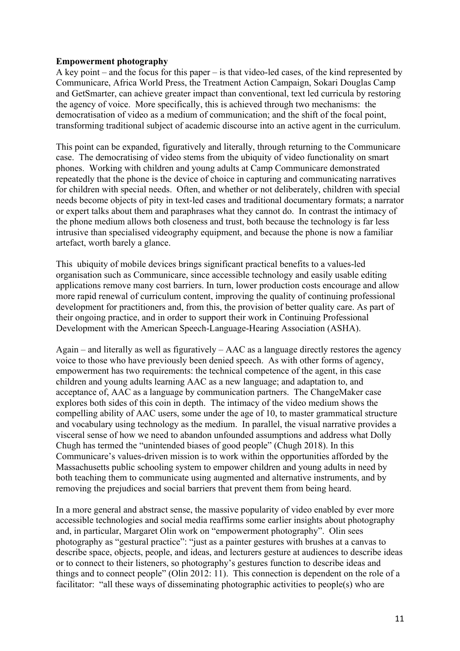## **Empowerment photography**

A key point – and the focus for this paper – is that video-led cases, of the kind represented by Communicare, Africa World Press, the Treatment Action Campaign, Sokari Douglas Camp and GetSmarter, can achieve greater impact than conventional, text led curricula by restoring the agency of voice. More specifically, this is achieved through two mechanisms: the democratisation of video as a medium of communication; and the shift of the focal point, transforming traditional subject of academic discourse into an active agent in the curriculum.

This point can be expanded, figuratively and literally, through returning to the Communicare case. The democratising of video stems from the ubiquity of video functionality on smart phones. Working with children and young adults at Camp Communicare demonstrated repeatedly that the phone is the device of choice in capturing and communicating narratives for children with special needs. Often, and whether or not deliberately, children with special needs become objects of pity in text-led cases and traditional documentary formats; a narrator or expert talks about them and paraphrases what they cannot do. In contrast the intimacy of the phone medium allows both closeness and trust, both because the technology is far less intrusive than specialised videography equipment, and because the phone is now a familiar artefact, worth barely a glance.

This ubiquity of mobile devices brings significant practical benefits to a values-led organisation such as Communicare, since accessible technology and easily usable editing applications remove many cost barriers. In turn, lower production costs encourage and allow more rapid renewal of curriculum content, improving the quality of continuing professional development for practitioners and, from this, the provision of better quality care. As part of their ongoing practice, and in order to support their work in Continuing Professional Development with the American Speech-Language-Hearing Association (ASHA).

Again – and literally as well as figuratively – AAC as a language directly restores the agency voice to those who have previously been denied speech. As with other forms of agency, empowerment has two requirements: the technical competence of the agent, in this case children and young adults learning AAC as a new language; and adaptation to, and acceptance of, AAC as a language by communication partners. The ChangeMaker case explores both sides of this coin in depth. The intimacy of the video medium shows the compelling ability of AAC users, some under the age of 10, to master grammatical structure and vocabulary using technology as the medium. In parallel, the visual narrative provides a visceral sense of how we need to abandon unfounded assumptions and address what Dolly Chugh has termed the "unintended biases of good people" (Chugh 2018). In this Communicare's values-driven mission is to work within the opportunities afforded by the Massachusetts public schooling system to empower children and young adults in need by both teaching them to communicate using augmented and alternative instruments, and by removing the prejudices and social barriers that prevent them from being heard.

In a more general and abstract sense, the massive popularity of video enabled by ever more accessible technologies and social media reaffirms some earlier insights about photography and, in particular, Margaret Olin work on "empowerment photography". Olin sees photography as "gestural practice": "just as a painter gestures with brushes at a canvas to describe space, objects, people, and ideas, and lecturers gesture at audiences to describe ideas or to connect to their listeners, so photography's gestures function to describe ideas and things and to connect people" (Olin 2012: 11). This connection is dependent on the role of a facilitator: "all these ways of disseminating photographic activities to people(s) who are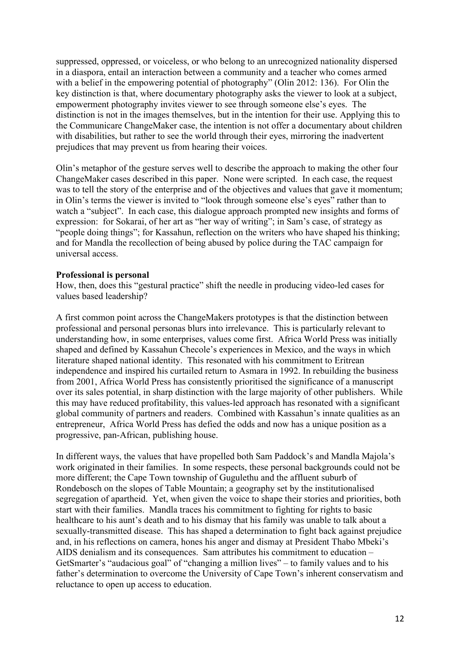suppressed, oppressed, or voiceless, or who belong to an unrecognized nationality dispersed in a diaspora, entail an interaction between a community and a teacher who comes armed with a belief in the empowering potential of photography" (Olin 2012: 136). For Olin the key distinction is that, where documentary photography asks the viewer to look at a subject, empowerment photography invites viewer to see through someone else's eyes. The distinction is not in the images themselves, but in the intention for their use. Applying this to the Communicare ChangeMaker case, the intention is not offer a documentary about children with disabilities, but rather to see the world through their eyes, mirroring the inadvertent prejudices that may prevent us from hearing their voices.

Olin's metaphor of the gesture serves well to describe the approach to making the other four ChangeMaker cases described in this paper. None were scripted. In each case, the request was to tell the story of the enterprise and of the objectives and values that gave it momentum; in Olin's terms the viewer is invited to "look through someone else's eyes" rather than to watch a "subject". In each case, this dialogue approach prompted new insights and forms of expression: for Sokarai, of her art as "her way of writing"; in Sam's case, of strategy as "people doing things"; for Kassahun, reflection on the writers who have shaped his thinking; and for Mandla the recollection of being abused by police during the TAC campaign for universal access.

#### **Professional is personal**

How, then, does this "gestural practice" shift the needle in producing video-led cases for values based leadership?

A first common point across the ChangeMakers prototypes is that the distinction between professional and personal personas blurs into irrelevance. This is particularly relevant to understanding how, in some enterprises, values come first. Africa World Press was initially shaped and defined by Kassahun Checole's experiences in Mexico, and the ways in which literature shaped national identity. This resonated with his commitment to Eritrean independence and inspired his curtailed return to Asmara in 1992. In rebuilding the business from 2001, Africa World Press has consistently prioritised the significance of a manuscript over its sales potential, in sharp distinction with the large majority of other publishers. While this may have reduced profitability, this values-led approach has resonated with a significant global community of partners and readers. Combined with Kassahun's innate qualities as an entrepreneur, Africa World Press has defied the odds and now has a unique position as a progressive, pan-African, publishing house.

In different ways, the values that have propelled both Sam Paddock's and Mandla Majola's work originated in their families. In some respects, these personal backgrounds could not be more different; the Cape Town township of Gugulethu and the affluent suburb of Rondebosch on the slopes of Table Mountain; a geography set by the institutionalised segregation of apartheid. Yet, when given the voice to shape their stories and priorities, both start with their families. Mandla traces his commitment to fighting for rights to basic healthcare to his aunt's death and to his dismay that his family was unable to talk about a sexually-transmitted disease. This has shaped a determination to fight back against prejudice and, in his reflections on camera, hones his anger and dismay at President Thabo Mbeki's AIDS denialism and its consequences. Sam attributes his commitment to education – GetSmarter's "audacious goal" of "changing a million lives" – to family values and to his father's determination to overcome the University of Cape Town's inherent conservatism and reluctance to open up access to education.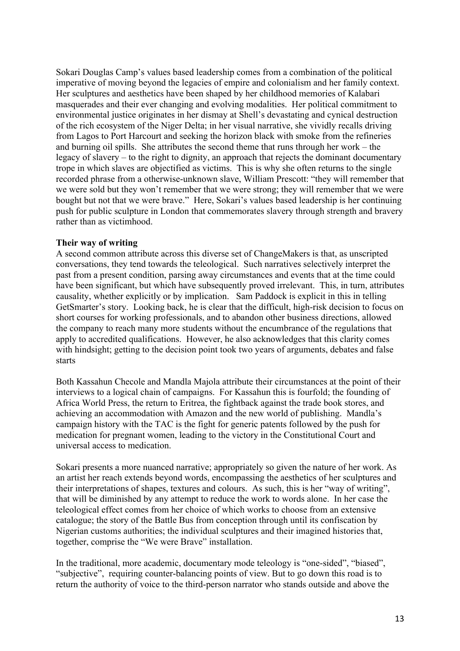Sokari Douglas Camp's values based leadership comes from a combination of the political imperative of moving beyond the legacies of empire and colonialism and her family context. Her sculptures and aesthetics have been shaped by her childhood memories of Kalabari masquerades and their ever changing and evolving modalities. Her political commitment to environmental justice originates in her dismay at Shell's devastating and cynical destruction of the rich ecosystem of the Niger Delta; in her visual narrative, she vividly recalls driving from Lagos to Port Harcourt and seeking the horizon black with smoke from the refineries and burning oil spills. She attributes the second theme that runs through her work – the legacy of slavery – to the right to dignity, an approach that rejects the dominant documentary trope in which slaves are objectified as victims. This is why she often returns to the single recorded phrase from a otherwise-unknown slave, William Prescott: "they will remember that we were sold but they won't remember that we were strong; they will remember that we were bought but not that we were brave." Here, Sokari's values based leadership is her continuing push for public sculpture in London that commemorates slavery through strength and bravery rather than as victimhood.

## **Their way of writing**

A second common attribute across this diverse set of ChangeMakers is that, as unscripted conversations, they tend towards the teleological. Such narratives selectively interpret the past from a present condition, parsing away circumstances and events that at the time could have been significant, but which have subsequently proved irrelevant. This, in turn, attributes causality, whether explicitly or by implication. Sam Paddock is explicit in this in telling GetSmarter's story. Looking back, he is clear that the difficult, high-risk decision to focus on short courses for working professionals, and to abandon other business directions, allowed the company to reach many more students without the encumbrance of the regulations that apply to accredited qualifications. However, he also acknowledges that this clarity comes with hindsight; getting to the decision point took two years of arguments, debates and false starts

Both Kassahun Checole and Mandla Majola attribute their circumstances at the point of their interviews to a logical chain of campaigns. For Kassahun this is fourfold; the founding of Africa World Press, the return to Eritrea, the fightback against the trade book stores, and achieving an accommodation with Amazon and the new world of publishing. Mandla's campaign history with the TAC is the fight for generic patents followed by the push for medication for pregnant women, leading to the victory in the Constitutional Court and universal access to medication.

Sokari presents a more nuanced narrative; appropriately so given the nature of her work. As an artist her reach extends beyond words, encompassing the aesthetics of her sculptures and their interpretations of shapes, textures and colours. As such, this is her "way of writing", that will be diminished by any attempt to reduce the work to words alone. In her case the teleological effect comes from her choice of which works to choose from an extensive catalogue; the story of the Battle Bus from conception through until its confiscation by Nigerian customs authorities; the individual sculptures and their imagined histories that, together, comprise the "We were Brave" installation.

In the traditional, more academic, documentary mode teleology is "one-sided", "biased", "subjective", requiring counter-balancing points of view. But to go down this road is to return the authority of voice to the third-person narrator who stands outside and above the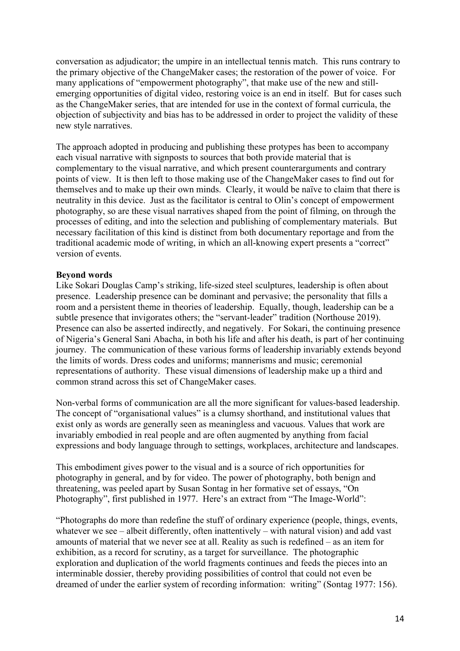conversation as adjudicator; the umpire in an intellectual tennis match. This runs contrary to the primary objective of the ChangeMaker cases; the restoration of the power of voice. For many applications of "empowerment photography", that make use of the new and stillemerging opportunities of digital video, restoring voice is an end in itself. But for cases such as the ChangeMaker series, that are intended for use in the context of formal curricula, the objection of subjectivity and bias has to be addressed in order to project the validity of these new style narratives.

The approach adopted in producing and publishing these protypes has been to accompany each visual narrative with signposts to sources that both provide material that is complementary to the visual narrative, and which present counterarguments and contrary points of view. It is then left to those making use of the ChangeMaker cases to find out for themselves and to make up their own minds. Clearly, it would be naïve to claim that there is neutrality in this device. Just as the facilitator is central to Olin's concept of empowerment photography, so are these visual narratives shaped from the point of filming, on through the processes of editing, and into the selection and publishing of complementary materials. But necessary facilitation of this kind is distinct from both documentary reportage and from the traditional academic mode of writing, in which an all-knowing expert presents a "correct" version of events.

#### **Beyond words**

Like Sokari Douglas Camp's striking, life-sized steel sculptures, leadership is often about presence. Leadership presence can be dominant and pervasive; the personality that fills a room and a persistent theme in theories of leadership. Equally, though, leadership can be a subtle presence that invigorates others; the "servant-leader" tradition (Northouse 2019). Presence can also be asserted indirectly, and negatively. For Sokari, the continuing presence of Nigeria's General Sani Abacha, in both his life and after his death, is part of her continuing journey. The communication of these various forms of leadership invariably extends beyond the limits of words. Dress codes and uniforms; mannerisms and music; ceremonial representations of authority. These visual dimensions of leadership make up a third and common strand across this set of ChangeMaker cases.

Non-verbal forms of communication are all the more significant for values-based leadership. The concept of "organisational values" is a clumsy shorthand, and institutional values that exist only as words are generally seen as meaningless and vacuous. Values that work are invariably embodied in real people and are often augmented by anything from facial expressions and body language through to settings, workplaces, architecture and landscapes.

This embodiment gives power to the visual and is a source of rich opportunities for photography in general, and by for video. The power of photography, both benign and threatening, was peeled apart by Susan Sontag in her formative set of essays, "On Photography", first published in 1977. Here's an extract from "The Image-World":

"Photographs do more than redefine the stuff of ordinary experience (people, things, events, whatever we see – albeit differently, often inattentively – with natural vision) and add vast amounts of material that we never see at all. Reality as such is redefined – as an item for exhibition, as a record for scrutiny, as a target for surveillance. The photographic exploration and duplication of the world fragments continues and feeds the pieces into an interminable dossier, thereby providing possibilities of control that could not even be dreamed of under the earlier system of recording information: writing" (Sontag 1977: 156).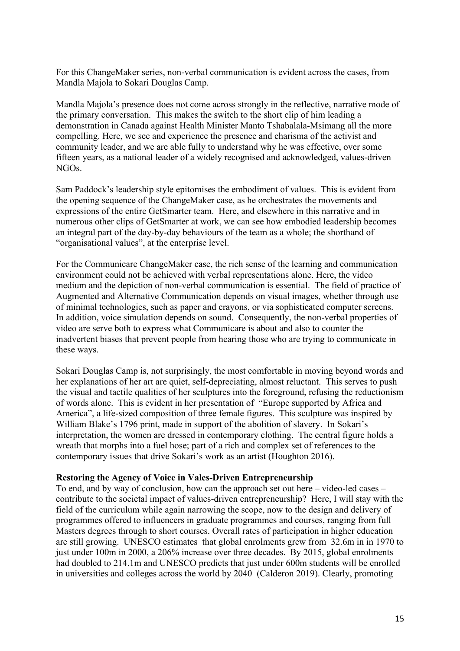For this ChangeMaker series, non-verbal communication is evident across the cases, from Mandla Majola to Sokari Douglas Camp.

Mandla Majola's presence does not come across strongly in the reflective, narrative mode of the primary conversation. This makes the switch to the short clip of him leading a demonstration in Canada against Health Minister Manto Tshabalala-Msimang all the more compelling. Here, we see and experience the presence and charisma of the activist and community leader, and we are able fully to understand why he was effective, over some fifteen years, as a national leader of a widely recognised and acknowledged, values-driven NGOs.

Sam Paddock's leadership style epitomises the embodiment of values. This is evident from the opening sequence of the ChangeMaker case, as he orchestrates the movements and expressions of the entire GetSmarter team. Here, and elsewhere in this narrative and in numerous other clips of GetSmarter at work, we can see how embodied leadership becomes an integral part of the day-by-day behaviours of the team as a whole; the shorthand of "organisational values", at the enterprise level.

For the Communicare ChangeMaker case, the rich sense of the learning and communication environment could not be achieved with verbal representations alone. Here, the video medium and the depiction of non-verbal communication is essential. The field of practice of Augmented and Alternative Communication depends on visual images, whether through use of minimal technologies, such as paper and crayons, or via sophisticated computer screens. In addition, voice simulation depends on sound. Consequently, the non-verbal properties of video are serve both to express what Communicare is about and also to counter the inadvertent biases that prevent people from hearing those who are trying to communicate in these ways.

Sokari Douglas Camp is, not surprisingly, the most comfortable in moving beyond words and her explanations of her art are quiet, self-depreciating, almost reluctant. This serves to push the visual and tactile qualities of her sculptures into the foreground, refusing the reductionism of words alone. This is evident in her presentation of "Europe supported by Africa and America", a life-sized composition of three female figures. This sculpture was inspired by William Blake's 1796 print, made in support of the abolition of slavery. In Sokari's interpretation, the women are dressed in contemporary clothing. The central figure holds a wreath that morphs into a fuel hose; part of a rich and complex set of references to the contemporary issues that drive Sokari's work as an artist (Houghton 2016).

#### **Restoring the Agency of Voice in Vales-Driven Entrepreneurship**

To end, and by way of conclusion, how can the approach set out here – video-led cases – contribute to the societal impact of values-driven entrepreneurship? Here, I will stay with the field of the curriculum while again narrowing the scope, now to the design and delivery of programmes offered to influencers in graduate programmes and courses, ranging from full Masters degrees through to short courses. Overall rates of participation in higher education are still growing. UNESCO estimates that global enrolments grew from 32.6m in in 1970 to just under 100m in 2000, a 206% increase over three decades. By 2015, global enrolments had doubled to 214.1m and UNESCO predicts that just under 600m students will be enrolled in universities and colleges across the world by 2040 (Calderon 2019). Clearly, promoting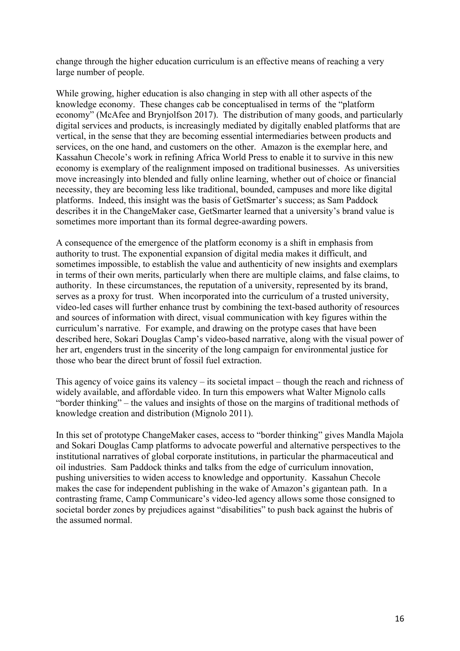change through the higher education curriculum is an effective means of reaching a very large number of people.

While growing, higher education is also changing in step with all other aspects of the knowledge economy. These changes cab be conceptualised in terms of the "platform economy" (McAfee and Brynjolfson 2017). The distribution of many goods, and particularly digital services and products, is increasingly mediated by digitally enabled platforms that are vertical, in the sense that they are becoming essential intermediaries between products and services, on the one hand, and customers on the other. Amazon is the exemplar here, and Kassahun Checole's work in refining Africa World Press to enable it to survive in this new economy is exemplary of the realignment imposed on traditional businesses. As universities move increasingly into blended and fully online learning, whether out of choice or financial necessity, they are becoming less like traditional, bounded, campuses and more like digital platforms. Indeed, this insight was the basis of GetSmarter's success; as Sam Paddock describes it in the ChangeMaker case, GetSmarter learned that a university's brand value is sometimes more important than its formal degree-awarding powers.

A consequence of the emergence of the platform economy is a shift in emphasis from authority to trust. The exponential expansion of digital media makes it difficult, and sometimes impossible, to establish the value and authenticity of new insights and exemplars in terms of their own merits, particularly when there are multiple claims, and false claims, to authority. In these circumstances, the reputation of a university, represented by its brand, serves as a proxy for trust. When incorporated into the curriculum of a trusted university, video-led cases will further enhance trust by combining the text-based authority of resources and sources of information with direct, visual communication with key figures within the curriculum's narrative. For example, and drawing on the protype cases that have been described here, Sokari Douglas Camp's video-based narrative, along with the visual power of her art, engenders trust in the sincerity of the long campaign for environmental justice for those who bear the direct brunt of fossil fuel extraction.

This agency of voice gains its valency – its societal impact – though the reach and richness of widely available, and affordable video. In turn this empowers what Walter Mignolo calls "border thinking" – the values and insights of those on the margins of traditional methods of knowledge creation and distribution (Mignolo 2011).

In this set of prototype ChangeMaker cases, access to "border thinking" gives Mandla Majola and Sokari Douglas Camp platforms to advocate powerful and alternative perspectives to the institutional narratives of global corporate institutions, in particular the pharmaceutical and oil industries. Sam Paddock thinks and talks from the edge of curriculum innovation, pushing universities to widen access to knowledge and opportunity. Kassahun Checole makes the case for independent publishing in the wake of Amazon's gigantean path. In a contrasting frame, Camp Communicare's video-led agency allows some those consigned to societal border zones by prejudices against "disabilities" to push back against the hubris of the assumed normal.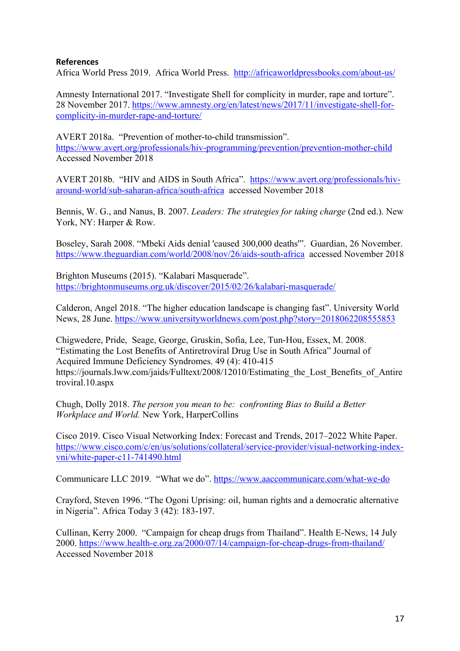# **References**

Africa World Press 2019. Africa World Press. http://africaworldpressbooks.com/about-us/

Amnesty International 2017. "Investigate Shell for complicity in murder, rape and torture". 28 November 2017. https://www.amnesty.org/en/latest/news/2017/11/investigate-shell-forcomplicity-in-murder-rape-and-torture/

AVERT 2018a. "Prevention of mother-to-child transmission". https://www.avert.org/professionals/hiv-programming/prevention/prevention-mother-child Accessed November 2018

AVERT 2018b. "HIV and AIDS in South Africa". https://www.avert.org/professionals/hivaround-world/sub-saharan-africa/south-africa accessed November 2018

Bennis, W. G., and Nanus, B. 2007. *Leaders: The strategies for taking charge* (2nd ed.). New York, NY: Harper & Row.

Boseley, Sarah 2008. "Mbeki Aids denial 'caused 300,000 deaths'". Guardian, 26 November. https://www.theguardian.com/world/2008/nov/26/aids-south-africa accessed November 2018

Brighton Museums (2015). "Kalabari Masquerade". https://brightonmuseums.org.uk/discover/2015/02/26/kalabari-masquerade/

Calderon, Angel 2018. "The higher education landscape is changing fast". University World News, 28 June. https://www.universityworldnews.com/post.php?story=2018062208555853

Chigwedere, Pride, Seage, George, Gruskin, Sofia, Lee, Tun-Hou, Essex, M. 2008. "Estimating the Lost Benefits of Antiretroviral Drug Use in South Africa" Journal of Acquired Immune Deficiency Syndromes. 49 (4): 410-415 https://journals.lww.com/jaids/Fulltext/2008/12010/Estimating the Lost Benefits of Antire troviral.10.aspx

Chugh, Dolly 2018. *The person you mean to be: confronting Bias to Build a Better Workplace and World.* New York, HarperCollins

Cisco 2019. Cisco Visual Networking Index: Forecast and Trends, 2017–2022 White Paper. https://www.cisco.com/c/en/us/solutions/collateral/service-provider/visual-networking-indexvni/white-paper-c11-741490.html

Communicare LLC 2019. "What we do". https://www.aaccommunicare.com/what-we-do

Crayford, Steven 1996. "The Ogoni Uprising: oil, human rights and a democratic alternative in Nigeria". Africa Today 3 (42): 183-197.

Cullinan, Kerry 2000. "Campaign for cheap drugs from Thailand". Health E-News, 14 July 2000. https://www.health-e.org.za/2000/07/14/campaign-for-cheap-drugs-from-thailand/ Accessed November 2018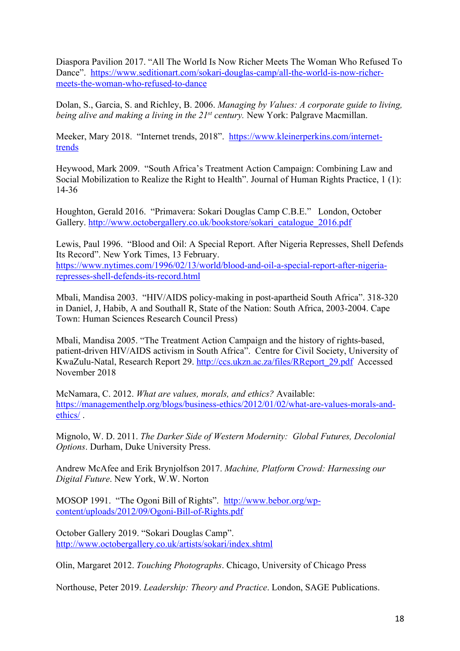Diaspora Pavilion 2017. "All The World Is Now Richer Meets The Woman Who Refused To Dance". https://www.seditionart.com/sokari-douglas-camp/all-the-world-is-now-richermeets-the-woman-who-refused-to-dance

Dolan, S., Garcia, S. and Richley, B. 2006. *Managing by Values: A corporate guide to living, being alive and making a living in the 21st century.* New York: Palgrave Macmillan.

Meeker, Mary 2018. "Internet trends, 2018". https://www.kleinerperkins.com/internettrends

Heywood, Mark 2009. "South Africa's Treatment Action Campaign: Combining Law and Social Mobilization to Realize the Right to Health". Journal of Human Rights Practice, 1 (1): 14-36

Houghton, Gerald 2016. "Primavera: Sokari Douglas Camp C.B.E." London, October Gallery. http://www.octobergallery.co.uk/bookstore/sokari\_catalogue\_2016.pdf

Lewis, Paul 1996. "Blood and Oil: A Special Report. After Nigeria Represses, Shell Defends Its Record". New York Times, 13 February. https://www.nytimes.com/1996/02/13/world/blood-and-oil-a-special-report-after-nigeria-

represses-shell-defends-its-record.html

Mbali, Mandisa 2003. "HIV/AIDS policy-making in post-apartheid South Africa". 318-320 in Daniel, J, Habib, A and Southall R, State of the Nation: South Africa, 2003-2004. Cape Town: Human Sciences Research Council Press)

Mbali, Mandisa 2005. "The Treatment Action Campaign and the history of rights-based, patient-driven HIV/AIDS activism in South Africa". Centre for Civil Society, University of KwaZulu-Natal, Research Report 29. http://ccs.ukzn.ac.za/files/RReport\_29.pdf Accessed November 2018

McNamara, C. 2012. *What are values, morals, and ethics?* Available: https://managementhelp.org/blogs/business-ethics/2012/01/02/what-are-values-morals-andethics/ .

Mignolo, W. D. 2011. *The Darker Side of Western Modernity: Global Futures, Decolonial Options*. Durham, Duke University Press.

Andrew McAfee and Erik Brynjolfson 2017. *Machine, Platform Crowd: Harnessing our Digital Future*. New York, W.W. Norton

MOSOP 1991. "The Ogoni Bill of Rights". http://www.bebor.org/wpcontent/uploads/2012/09/Ogoni-Bill-of-Rights.pdf

October Gallery 2019. "Sokari Douglas Camp". http://www.octobergallery.co.uk/artists/sokari/index.shtml

Olin, Margaret 2012. *Touching Photographs*. Chicago, University of Chicago Press

Northouse, Peter 2019. *Leadership: Theory and Practice*. London, SAGE Publications.